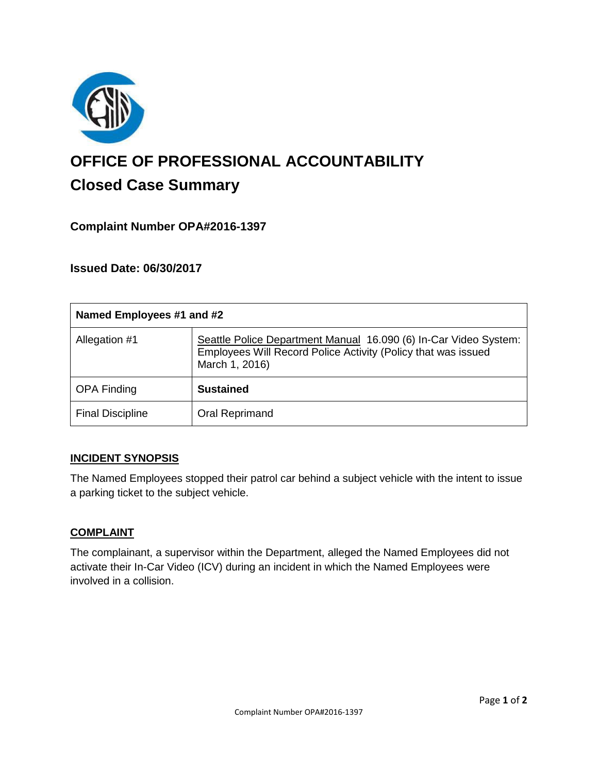

# **OFFICE OF PROFESSIONAL ACCOUNTABILITY Closed Case Summary**

# **Complaint Number OPA#2016-1397**

**Issued Date: 06/30/2017**

| Named Employees #1 and #2 |                                                                                                                                                     |
|---------------------------|-----------------------------------------------------------------------------------------------------------------------------------------------------|
| Allegation #1             | Seattle Police Department Manual 16.090 (6) In-Car Video System:<br>Employees Will Record Police Activity (Policy that was issued<br>March 1, 2016) |
| <b>OPA Finding</b>        | <b>Sustained</b>                                                                                                                                    |
| <b>Final Discipline</b>   | Oral Reprimand                                                                                                                                      |

## **INCIDENT SYNOPSIS**

The Named Employees stopped their patrol car behind a subject vehicle with the intent to issue a parking ticket to the subject vehicle.

### **COMPLAINT**

The complainant, a supervisor within the Department, alleged the Named Employees did not activate their In-Car Video (ICV) during an incident in which the Named Employees were involved in a collision.